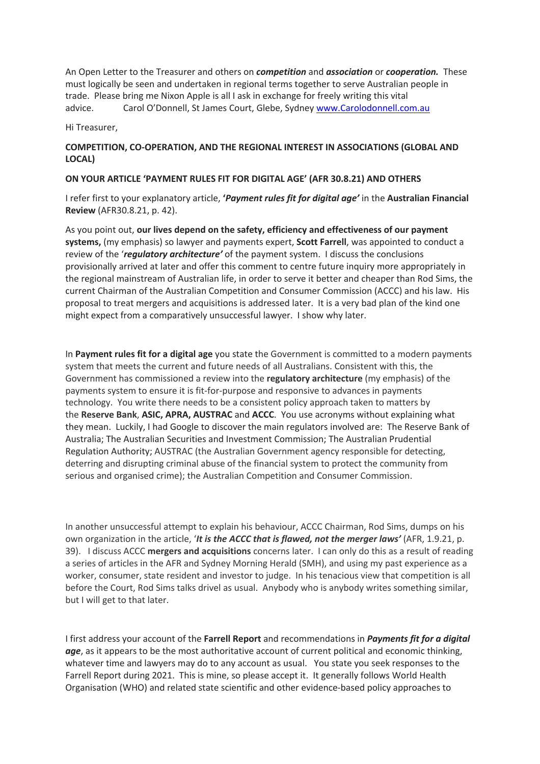An Open Letter to the Treasurer and others on *competition* and *association* or *cooperation.* These must logically be seen and undertaken in regional terms together to serve Australian people in trade. Please bring me Nixon Apple is all I ask in exchange for freely writing this vital advice. Carol O'Donnell, St James Court, Glebe, Sydney www.Carolodonnell.com.au

Hi Treasurer,

## **COMPETITION, CO-OPERATION, AND THE REGIONAL INTEREST IN ASSOCIATIONS (GLOBAL AND LOCAL)**

## **ON YOUR ARTICLE 'PAYMENT RULES FIT FOR DIGITAL AGE' (AFR 30.8.21) AND OTHERS**

I refer first to your explanatory article, **'***Payment rules fit for digital age'* in the **Australian Financial Review** (AFR30.8.21, p. 42).

As you point out, **our lives depend on the safety, efficiency and effectiveness of our payment systems,** (my emphasis) so lawyer and payments expert, **Scott Farrell**, was appointed to conduct a review of the '*regulatory architecture'* of the payment system. I discuss the conclusions provisionally arrived at later and offer this comment to centre future inquiry more appropriately in the regional mainstream of Australian life, in order to serve it better and cheaper than Rod Sims, the current Chairman of the Australian Competition and Consumer Commission (ACCC) and his law. His proposal to treat mergers and acquisitions is addressed later. It is a very bad plan of the kind one might expect from a comparatively unsuccessful lawyer. I show why later.

In **Payment rules fit for a digital age** you state the Government is committed to a modern payments system that meets the current and future needs of all Australians. Consistent with this, the Government has commissioned a review into the **regulatory architecture** (my emphasis) of the payments system to ensure it is fit-for-purpose and responsive to advances in payments technology. You write there needs to be a consistent policy approach taken to matters by the **Reserve Bank**, **ASIC, APRA, AUSTRAC** and **ACCC**. You use acronyms without explaining what they mean. Luckily, I had Google to discover the main regulators involved are: The Reserve Bank of Australia; The Australian Securities and Investment Commission; The Australian Prudential Regulation Authority; AUSTRAC (the Australian Government agency responsible for detecting, deterring and disrupting criminal abuse of the financial system to protect the community from serious and organised crime); the Australian Competition and Consumer Commission.

In another unsuccessful attempt to explain his behaviour, ACCC Chairman, Rod Sims, dumps on his own organization in the article, '*It is the ACCC that is flawed, not the merger laws'* (AFR, 1.9.21, p. 39). I discuss ACCC **mergers and acquisitions** concerns later. I can only do this as a result of reading a series of articles in the AFR and Sydney Morning Herald (SMH), and using my past experience as a worker, consumer, state resident and investor to judge. In his tenacious view that competition is all before the Court, Rod Sims talks drivel as usual. Anybody who is anybody writes something similar, but I will get to that later.

I first address your account of the **Farrell Report** and recommendations in *Payments fit for a digital age*, as it appears to be the most authoritative account of current political and economic thinking, whatever time and lawyers may do to any account as usual. You state you seek responses to the Farrell Report during 2021. This is mine, so please accept it. It generally follows World Health Organisation (WHO) and related state scientific and other evidence-based policy approaches to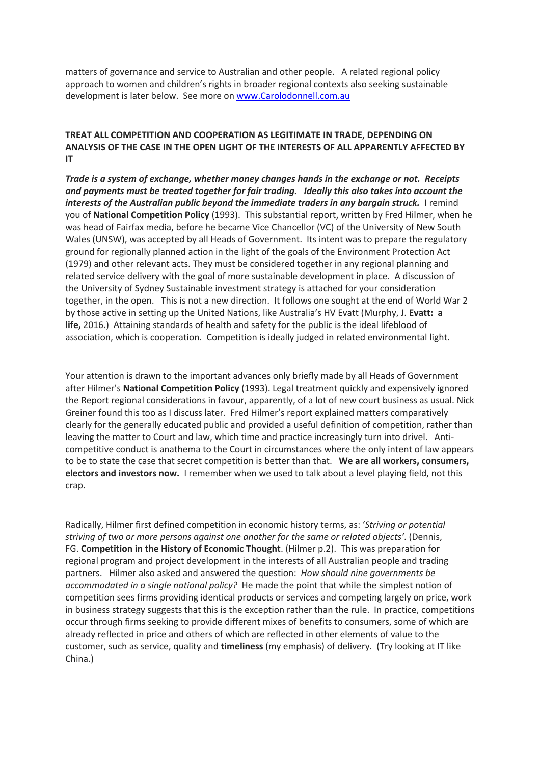matters of governance and service to Australian and other people. A related regional policy approach to women and children's rights in broader regional contexts also seeking sustainable development is later below. See more on www.Carolodonnell.com.au

### **TREAT ALL COMPETITION AND COOPERATION AS LEGITIMATE IN TRADE, DEPENDING ON ANALYSIS OF THE CASE IN THE OPEN LIGHT OF THE INTERESTS OF ALL APPARENTLY AFFECTED BY IT**

*Trade is a system of exchange, whether money changes hands in the exchange or not. Receipts and payments must be treated together for fair trading. Ideally this also takes into account the interests of the Australian public beyond the immediate traders in any bargain struck.* I remind you of **National Competition Policy** (1993). This substantial report, written by Fred Hilmer, when he was head of Fairfax media, before he became Vice Chancellor (VC) of the University of New South Wales (UNSW), was accepted by all Heads of Government. Its intent was to prepare the regulatory ground for regionally planned action in the light of the goals of the Environment Protection Act (1979) and other relevant acts. They must be considered together in any regional planning and related service delivery with the goal of more sustainable development in place. A discussion of the University of Sydney Sustainable investment strategy is attached for your consideration together, in the open. This is not a new direction. It follows one sought at the end of World War 2 by those active in setting up the United Nations, like Australia's HV Evatt (Murphy, J. **Evatt: a life,** 2016.) Attaining standards of health and safety for the public is the ideal lifeblood of association, which is cooperation. Competition is ideally judged in related environmental light.

Your attention is drawn to the important advances only briefly made by all Heads of Government after Hilmer's **National Competition Policy** (1993). Legal treatment quickly and expensively ignored the Report regional considerations in favour, apparently, of a lot of new court business as usual. Nick Greiner found this too as I discuss later. Fred Hilmer's report explained matters comparatively clearly for the generally educated public and provided a useful definition of competition, rather than leaving the matter to Court and law, which time and practice increasingly turn into drivel. Anticompetitive conduct is anathema to the Court in circumstances where the only intent of law appears to be to state the case that secret competition is better than that. **We are all workers, consumers, electors and investors now.** I remember when we used to talk about a level playing field, not this crap.

Radically, Hilmer first defined competition in economic history terms, as: '*Striving or potential striving of two or more persons against one another for the same or related objects'*. (Dennis, FG. **Competition in the History of Economic Thought**. (Hilmer p.2). This was preparation for regional program and project development in the interests of all Australian people and trading partners. Hilmer also asked and answered the question: *How should nine governments be accommodated in a single national policy?* He made the point that while the simplest notion of competition sees firms providing identical products or services and competing largely on price, work in business strategy suggests that this is the exception rather than the rule. In practice, competitions occur through firms seeking to provide different mixes of benefits to consumers, some of which are already reflected in price and others of which are reflected in other elements of value to the customer, such as service, quality and **timeliness** (my emphasis) of delivery. (Try looking at IT like China.)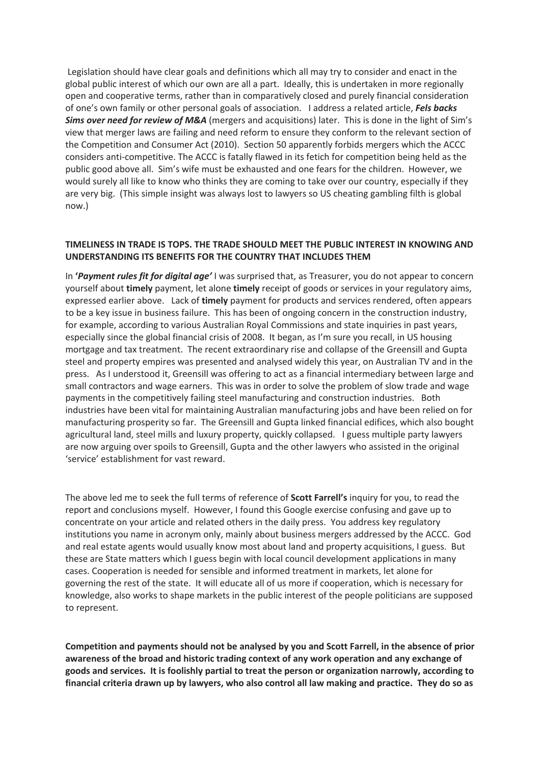Legislation should have clear goals and definitions which all may try to consider and enact in the global public interest of which our own are all a part. Ideally, this is undertaken in more regionally open and cooperative terms, rather than in comparatively closed and purely financial consideration of one's own family or other personal goals of association. I address a related article, *Fels backs Sims over need for review of M&A* (mergers and acquisitions) later. This is done in the light of Sim's view that merger laws are failing and need reform to ensure they conform to the relevant section of the Competition and Consumer Act (2010). Section 50 apparently forbids mergers which the ACCC considers anti-competitive. The ACCC is fatally flawed in its fetich for competition being held as the public good above all. Sim's wife must be exhausted and one fears for the children. However, we would surely all like to know who thinks they are coming to take over our country, especially if they are very big. (This simple insight was always lost to lawyers so US cheating gambling filth is global now.)

### **TIMELINESS IN TRADE IS TOPS. THE TRADE SHOULD MEET THE PUBLIC INTEREST IN KNOWING AND UNDERSTANDING ITS BENEFITS FOR THE COUNTRY THAT INCLUDES THEM**

In **'***Payment rules fit for digital age'* I was surprised that, as Treasurer, you do not appear to concern yourself about **timely** payment, let alone **timely** receipt of goods or services in your regulatory aims, expressed earlier above. Lack of **timely** payment for products and services rendered, often appears to be a key issue in business failure. This has been of ongoing concern in the construction industry, for example, according to various Australian Royal Commissions and state inquiries in past years, especially since the global financial crisis of 2008. It began, as I'm sure you recall, in US housing mortgage and tax treatment. The recent extraordinary rise and collapse of the Greensill and Gupta steel and property empires was presented and analysed widely this year, on Australian TV and in the press. As I understood it, Greensill was offering to act as a financial intermediary between large and small contractors and wage earners. This was in order to solve the problem of slow trade and wage payments in the competitively failing steel manufacturing and construction industries. Both industries have been vital for maintaining Australian manufacturing jobs and have been relied on for manufacturing prosperity so far. The Greensill and Gupta linked financial edifices, which also bought agricultural land, steel mills and luxury property, quickly collapsed. I guess multiple party lawyers are now arguing over spoils to Greensill, Gupta and the other lawyers who assisted in the original 'service' establishment for vast reward.

The above led me to seek the full terms of reference of **Scott Farrell's** inquiry for you, to read the report and conclusions myself. However, I found this Google exercise confusing and gave up to concentrate on your article and related others in the daily press. You address key regulatory institutions you name in acronym only, mainly about business mergers addressed by the ACCC. God and real estate agents would usually know most about land and property acquisitions, I guess. But these are State matters which I guess begin with local council development applications in many cases. Cooperation is needed for sensible and informed treatment in markets, let alone for governing the rest of the state. It will educate all of us more if cooperation, which is necessary for knowledge, also works to shape markets in the public interest of the people politicians are supposed to represent.

**Competition and payments should not be analysed by you and Scott Farrell, in the absence of prior awareness of the broad and historic trading context of any work operation and any exchange of goods and services. It is foolishly partial to treat the person or organization narrowly, according to financial criteria drawn up by lawyers, who also control all law making and practice. They do so as**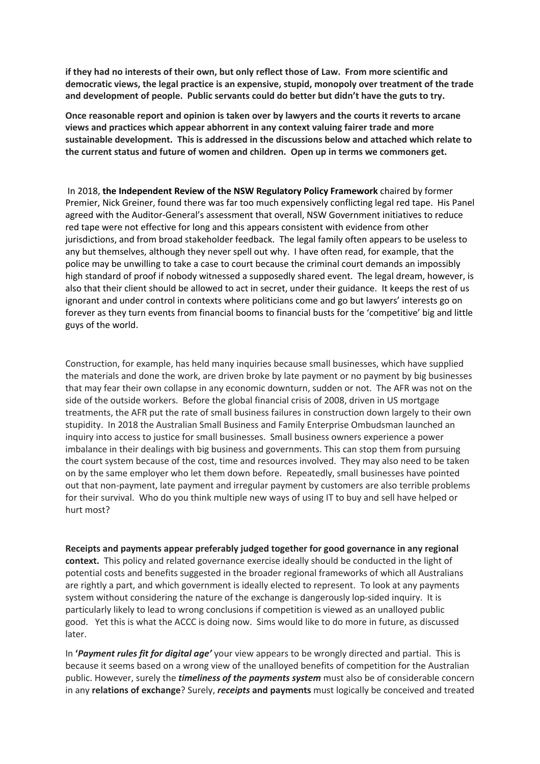**if they had no interests of their own, but only reflect those of Law. From more scientific and democratic views, the legal practice is an expensive, stupid, monopoly over treatment of the trade and development of people. Public servants could do better but didn't have the guts to try.**

**Once reasonable report and opinion is taken over by lawyers and the courts it reverts to arcane views and practices which appear abhorrent in any context valuing fairer trade and more sustainable development. This is addressed in the discussions below and attached which relate to the current status and future of women and children. Open up in terms we commoners get.**

In 2018, **the Independent Review of the NSW Regulatory Policy Framework** chaired by former Premier, Nick Greiner, found there was far too much expensively conflicting legal red tape. His Panel agreed with the Auditor-General's assessment that overall, NSW Government initiatives to reduce red tape were not effective for long and this appears consistent with evidence from other jurisdictions, and from broad stakeholder feedback. The legal family often appears to be useless to any but themselves, although they never spell out why. I have often read, for example, that the police may be unwilling to take a case to court because the criminal court demands an impossibly high standard of proof if nobody witnessed a supposedly shared event. The legal dream, however, is also that their client should be allowed to act in secret, under their guidance. It keeps the rest of us ignorant and under control in contexts where politicians come and go but lawyers' interests go on forever as they turn events from financial booms to financial busts for the 'competitive' big and little guys of the world.

Construction, for example, has held many inquiries because small businesses, which have supplied the materials and done the work, are driven broke by late payment or no payment by big businesses that may fear their own collapse in any economic downturn, sudden or not. The AFR was not on the side of the outside workers. Before the global financial crisis of 2008, driven in US mortgage treatments, the AFR put the rate of small business failures in construction down largely to their own stupidity. In 2018 the Australian Small Business and Family Enterprise Ombudsman launched an inquiry into access to justice for small businesses. Small business owners experience a power imbalance in their dealings with big business and governments. This can stop them from pursuing the court system because of the cost, time and resources involved. They may also need to be taken on by the same employer who let them down before. Repeatedly, small businesses have pointed out that non-payment, late payment and irregular payment by customers are also terrible problems for their survival. Who do you think multiple new ways of using IT to buy and sell have helped or hurt most?

**Receipts and payments appear preferably judged together for good governance in any regional context.** This policy and related governance exercise ideally should be conducted in the light of potential costs and benefits suggested in the broader regional frameworks of which all Australians are rightly a part, and which government is ideally elected to represent. To look at any payments system without considering the nature of the exchange is dangerously lop-sided inquiry. It is particularly likely to lead to wrong conclusions if competition is viewed as an unalloyed public good. Yet this is what the ACCC is doing now. Sims would like to do more in future, as discussed later.

In **'***Payment rules fit for digital age'* your view appears to be wrongly directed and partial. This is because it seems based on a wrong view of the unalloyed benefits of competition for the Australian public. However, surely the *timeliness of the payments system* must also be of considerable concern in any **relations of exchange**? Surely, *receipts* **and payments** must logically be conceived and treated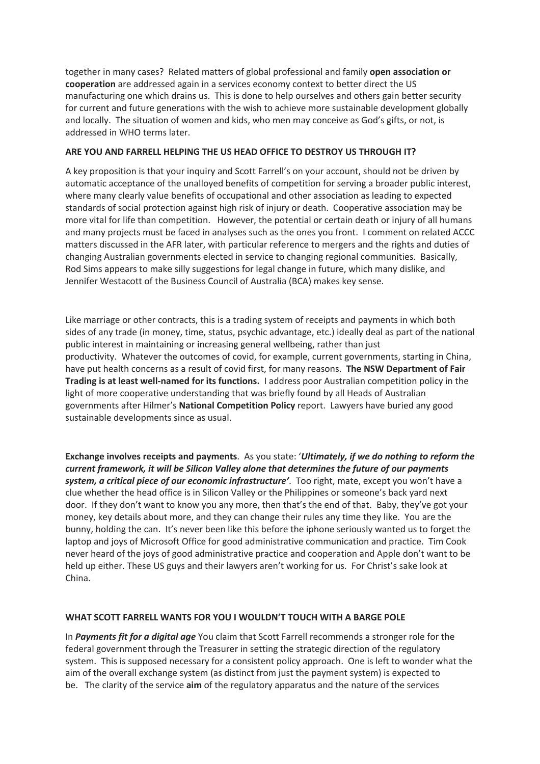together in many cases? Related matters of global professional and family **open association or cooperation** are addressed again in a services economy context to better direct the US manufacturing one which drains us. This is done to help ourselves and others gain better security for current and future generations with the wish to achieve more sustainable development globally and locally. The situation of women and kids, who men may conceive as God's gifts, or not, is addressed in WHO terms later.

## **ARE YOU AND FARRELL HELPING THE US HEAD OFFICE TO DESTROY US THROUGH IT?**

A key proposition is that your inquiry and Scott Farrell's on your account, should not be driven by automatic acceptance of the unalloyed benefits of competition for serving a broader public interest, where many clearly value benefits of occupational and other association as leading to expected standards of social protection against high risk of injury or death. Cooperative association may be more vital for life than competition. However, the potential or certain death or injury of all humans and many projects must be faced in analyses such as the ones you front. I comment on related ACCC matters discussed in the AFR later, with particular reference to mergers and the rights and duties of changing Australian governments elected in service to changing regional communities. Basically, Rod Sims appears to make silly suggestions for legal change in future, which many dislike, and Jennifer Westacott of the Business Council of Australia (BCA) makes key sense.

Like marriage or other contracts, this is a trading system of receipts and payments in which both sides of any trade (in money, time, status, psychic advantage, etc.) ideally deal as part of the national public interest in maintaining or increasing general wellbeing, rather than just productivity. Whatever the outcomes of covid, for example, current governments, starting in China, have put health concerns as a result of covid first, for many reasons. **The NSW Department of Fair Trading is at least well-named for its functions.** I address poor Australian competition policy in the light of more cooperative understanding that was briefly found by all Heads of Australian governments after Hilmer's **National Competition Policy** report. Lawyers have buried any good sustainable developments since as usual.

**Exchange involves receipts and payments**. As you state: '*Ultimately, if we do nothing to reform the current framework, it will be Silicon Valley alone that determines the future of our payments system, a critical piece of our economic infrastructure'*. Too right, mate, except you won't have a clue whether the head office is in Silicon Valley or the Philippines or someone's back yard next door. If they don't want to know you any more, then that's the end of that. Baby, they've got your money, key details about more, and they can change their rules any time they like. You are the bunny, holding the can. It's never been like this before the iphone seriously wanted us to forget the laptop and joys of Microsoft Office for good administrative communication and practice. Tim Cook never heard of the joys of good administrative practice and cooperation and Apple don't want to be held up either. These US guys and their lawyers aren't working for us. For Christ's sake look at China.

## **WHAT SCOTT FARRELL WANTS FOR YOU I WOULDN'T TOUCH WITH A BARGE POLE**

In *Payments fit for a digital age* You claim that Scott Farrell recommends a stronger role for the federal government through the Treasurer in setting the strategic direction of the regulatory system. This is supposed necessary for a consistent policy approach. One is left to wonder what the aim of the overall exchange system (as distinct from just the payment system) is expected to be. The clarity of the service **aim** of the regulatory apparatus and the nature of the services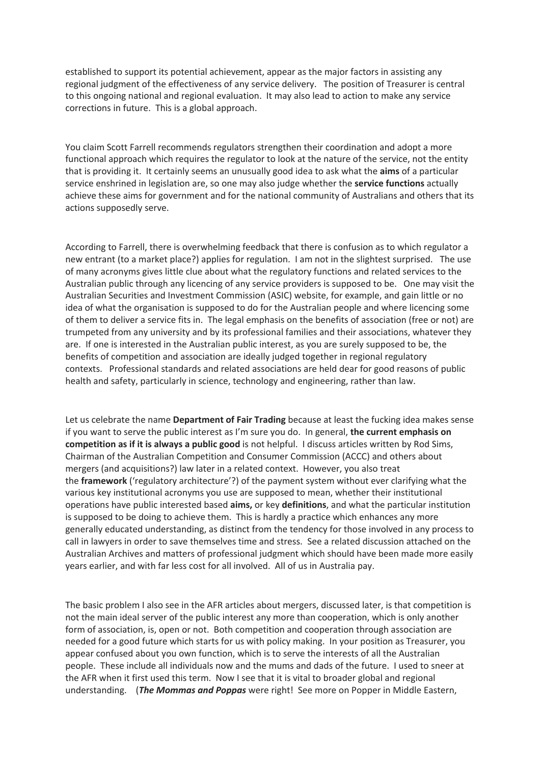established to support its potential achievement, appear as the major factors in assisting any regional judgment of the effectiveness of any service delivery. The position of Treasurer is central to this ongoing national and regional evaluation. It may also lead to action to make any service corrections in future. This is a global approach.

You claim Scott Farrell recommends regulators strengthen their coordination and adopt a more functional approach which requires the regulator to look at the nature of the service, not the entity that is providing it. It certainly seems an unusually good idea to ask what the **aims** of a particular service enshrined in legislation are, so one may also judge whether the **service functions** actually achieve these aims for government and for the national community of Australians and others that its actions supposedly serve.

According to Farrell, there is overwhelming feedback that there is confusion as to which regulator a new entrant (to a market place?) applies for regulation. I am not in the slightest surprised. The use of many acronyms gives little clue about what the regulatory functions and related services to the Australian public through any licencing of any service providers is supposed to be. One may visit the Australian Securities and Investment Commission (ASIC) website, for example, and gain little or no idea of what the organisation is supposed to do for the Australian people and where licencing some of them to deliver a service fits in. The legal emphasis on the benefits of association (free or not) are trumpeted from any university and by its professional families and their associations, whatever they are. If one is interested in the Australian public interest, as you are surely supposed to be, the benefits of competition and association are ideally judged together in regional regulatory contexts. Professional standards and related associations are held dear for good reasons of public health and safety, particularly in science, technology and engineering, rather than law.

Let us celebrate the name **Department of Fair Trading** because at least the fucking idea makes sense if you want to serve the public interest as I'm sure you do. In general, **the current emphasis on competition as if it is always a public good** is not helpful. I discuss articles written by Rod Sims, Chairman of the Australian Competition and Consumer Commission (ACCC) and others about mergers (and acquisitions?) law later in a related context. However, you also treat the **framework** ('regulatory architecture'?) of the payment system without ever clarifying what the various key institutional acronyms you use are supposed to mean, whether their institutional operations have public interested based **aims,** or key **definitions**, and what the particular institution is supposed to be doing to achieve them. This is hardly a practice which enhances any more generally educated understanding, as distinct from the tendency for those involved in any process to call in lawyers in order to save themselves time and stress. See a related discussion attached on the Australian Archives and matters of professional judgment which should have been made more easily years earlier, and with far less cost for all involved. All of us in Australia pay.

The basic problem I also see in the AFR articles about mergers, discussed later, is that competition is not the main ideal server of the public interest any more than cooperation, which is only another form of association, is, open or not. Both competition and cooperation through association are needed for a good future which starts for us with policy making. In your position as Treasurer, you appear confused about you own function, which is to serve the interests of all the Australian people. These include all individuals now and the mums and dads of the future. I used to sneer at the AFR when it first used this term. Now I see that it is vital to broader global and regional understanding. (*The Mommas and Poppas* were right! See more on Popper in Middle Eastern,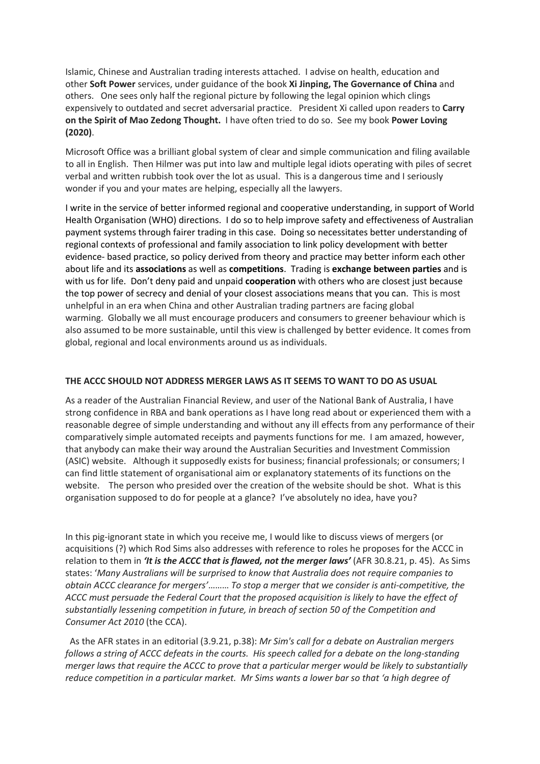Islamic, Chinese and Australian trading interests attached. I advise on health, education and other **Soft Power** services, under guidance of the book **Xi Jinping, The Governance of China** and others. One sees only half the regional picture by following the legal opinion which clings expensively to outdated and secret adversarial practice. President Xi called upon readers to **Carry on the Spirit of Mao Zedong Thought.** I have often tried to do so. See my book **Power Loving (2020)**.

Microsoft Office was a brilliant global system of clear and simple communication and filing available to all in English. Then Hilmer was put into law and multiple legal idiots operating with piles of secret verbal and written rubbish took over the lot as usual. This is a dangerous time and I seriously wonder if you and your mates are helping, especially all the lawyers.

I write in the service of better informed regional and cooperative understanding, in support of World Health Organisation (WHO) directions. I do so to help improve safety and effectiveness of Australian payment systems through fairer trading in this case. Doing so necessitates better understanding of regional contexts of professional and family association to link policy development with better evidence- based practice, so policy derived from theory and practice may better inform each other about life and its **associations** as well as **competitions**. Trading is **exchange between parties** and is with us for life. Don't deny paid and unpaid **cooperation** with others who are closest just because the top power of secrecy and denial of your closest associations means that you can. This is most unhelpful in an era when China and other Australian trading partners are facing global warming. Globally we all must encourage producers and consumers to greener behaviour which is also assumed to be more sustainable, until this view is challenged by better evidence. It comes from global, regional and local environments around us as individuals.

### **THE ACCC SHOULD NOT ADDRESS MERGER LAWS AS IT SEEMS TO WANT TO DO AS USUAL**

As a reader of the Australian Financial Review, and user of the National Bank of Australia, I have strong confidence in RBA and bank operations as I have long read about or experienced them with a reasonable degree of simple understanding and without any ill effects from any performance of their comparatively simple automated receipts and payments functions for me. I am amazed, however, that anybody can make their way around the Australian Securities and Investment Commission (ASIC) website. Although it supposedly exists for business; financial professionals; or consumers; I can find little statement of organisational aim or explanatory statements of its functions on the website. The person who presided over the creation of the website should be shot. What is this organisation supposed to do for people at a glance? I've absolutely no idea, have you?

In this pig-ignorant state in which you receive me, I would like to discuss views of mergers (or acquisitions (?) which Rod Sims also addresses with reference to roles he proposes for the ACCC in relation to them in *'It is the ACCC that is flawed, not the merger laws'* (AFR 30.8.21, p. 45). As Sims states: '*Many Australians will be surprised to know that Australia does not require companies to obtain ACCC clearance for mergers'*……… *To stop a merger that we consider is anti-competitive, the ACCC must persuade the Federal Court that the proposed acquisition is likely to have the effect of substantially lessening competition in future, in breach of section 50 of the Competition and Consumer Act 2010* (the CCA).

As the AFR states in an editorial (3.9.21, p.38): *Mr Sim's call for a debate on Australian mergers follows a string of ACCC defeats in the courts. His speech called for a debate on the long-standing merger laws that require the ACCC to prove that a particular merger would be likely to substantially reduce competition in a particular market. Mr Sims wants a lower bar so that 'a high degree of*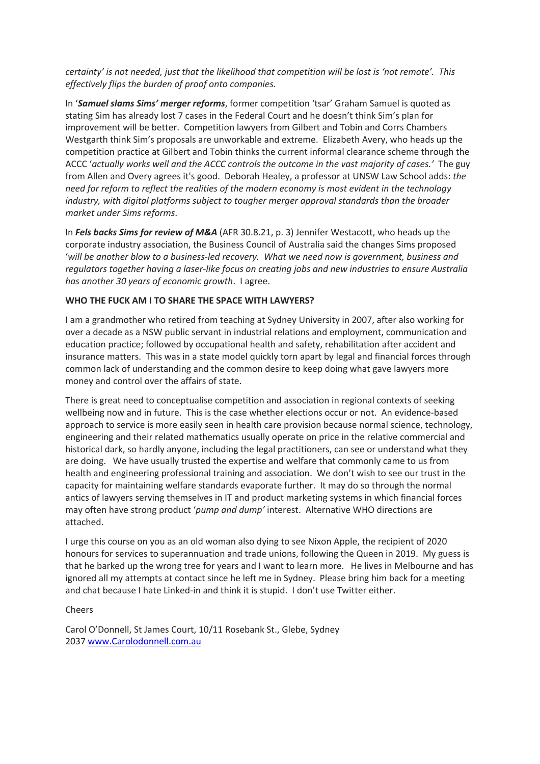*certainty' is not needed, just that the likelihood that competition will be lost is 'not remote'. This effectively flips the burden of proof onto companies.*

In '*Samuel slams Sims' merger reforms*, former competition 'tsar' Graham Samuel is quoted as stating Sim has already lost 7 cases in the Federal Court and he doesn't think Sim's plan for improvement will be better. Competition lawyers from Gilbert and Tobin and Corrs Chambers Westgarth think Sim's proposals are unworkable and extreme. Elizabeth Avery, who heads up the competition practice at Gilbert and Tobin thinks the current informal clearance scheme through the ACCC '*actually works well and the ACCC controls the outcome in the vast majority of cases.'* The guy from Allen and Overy agrees it's good. Deborah Healey, a professor at UNSW Law School adds: *the need for reform to reflect the realities of the modern economy is most evident in the technology industry, with digital platforms subject to tougher merger approval standards than the broader market under Sims reforms*.

In *Fels backs Sims for review of M&A* (AFR 30.8.21, p. 3) Jennifer Westacott, who heads up the corporate industry association, the Business Council of Australia said the changes Sims proposed '*will be another blow to a business-led recovery. What we need now is government, business and regulators together having a laser-like focus on creating jobs and new industries to ensure Australia has another 30 years of economic growth*. I agree.

#### **WHO THE FUCK AM I TO SHARE THE SPACE WITH LAWYERS?**

I am a grandmother who retired from teaching at Sydney University in 2007, after also working for over a decade as a NSW public servant in industrial relations and employment, communication and education practice; followed by occupational health and safety, rehabilitation after accident and insurance matters. This was in a state model quickly torn apart by legal and financial forces through common lack of understanding and the common desire to keep doing what gave lawyers more money and control over the affairs of state.

There is great need to conceptualise competition and association in regional contexts of seeking wellbeing now and in future. This is the case whether elections occur or not. An evidence-based approach to service is more easily seen in health care provision because normal science, technology, engineering and their related mathematics usually operate on price in the relative commercial and historical dark, so hardly anyone, including the legal practitioners, can see or understand what they are doing. We have usually trusted the expertise and welfare that commonly came to us from health and engineering professional training and association. We don't wish to see our trust in the capacity for maintaining welfare standards evaporate further. It may do so through the normal antics of lawyers serving themselves in IT and product marketing systems in which financial forces may often have strong product '*pump and dump'* interest. Alternative WHO directions are attached.

I urge this course on you as an old woman also dying to see Nixon Apple, the recipient of 2020 honours for services to superannuation and trade unions, following the Queen in 2019. My guess is that he barked up the wrong tree for years and I want to learn more. He lives in Melbourne and has ignored all my attempts at contact since he left me in Sydney. Please bring him back for a meeting and chat because I hate Linked-in and think it is stupid. I don't use Twitter either.

Cheers

Carol O'Donnell, St James Court, 10/11 Rosebank St., Glebe, Sydney 2037 www.Carolodonnell.com.au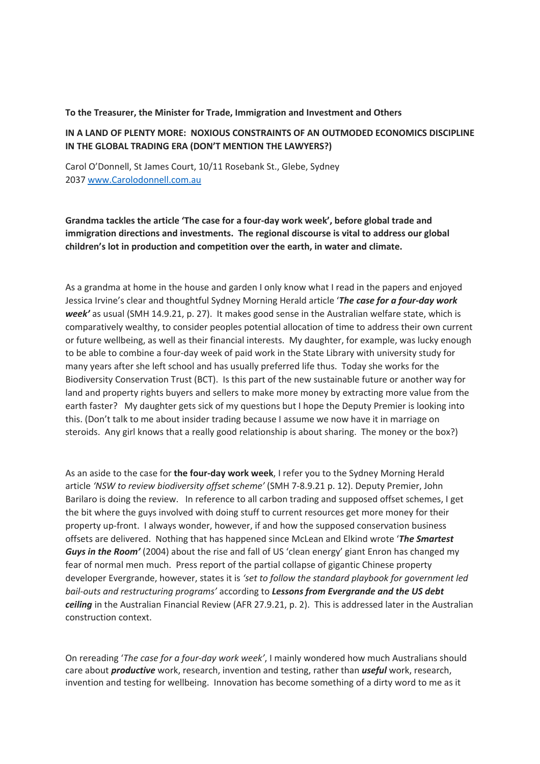#### **To the Treasurer, the Minister for Trade, Immigration and Investment and Others**

## **IN A LAND OF PLENTY MORE: NOXIOUS CONSTRAINTS OF AN OUTMODED ECONOMICS DISCIPLINE IN THE GLOBAL TRADING ERA (DON'T MENTION THE LAWYERS?)**

Carol O'Donnell, St James Court, 10/11 Rosebank St., Glebe, Sydney 2037 www.Carolodonnell.com.au

# **Grandma tackles the article 'The case for a four-day work week', before global trade and immigration directions and investments. The regional discourse is vital to address our global children's lot in production and competition over the earth, in water and climate.**

As a grandma at home in the house and garden I only know what I read in the papers and enjoyed Jessica Irvine's clear and thoughtful Sydney Morning Herald article '*The case for a four-day work week'* as usual (SMH 14.9.21, p. 27). It makes good sense in the Australian welfare state, which is comparatively wealthy, to consider peoples potential allocation of time to address their own current or future wellbeing, as well as their financial interests. My daughter, for example, was lucky enough to be able to combine a four-day week of paid work in the State Library with university study for many years after she left school and has usually preferred life thus. Today she works for the Biodiversity Conservation Trust (BCT). Is this part of the new sustainable future or another way for land and property rights buyers and sellers to make more money by extracting more value from the earth faster? My daughter gets sick of my questions but I hope the Deputy Premier is looking into this. (Don't talk to me about insider trading because I assume we now have it in marriage on steroids. Any girl knows that a really good relationship is about sharing. The money or the box?)

As an aside to the case for **the four-day work week**, I refer you to the Sydney Morning Herald article *'NSW to review biodiversity offset scheme'* (SMH 7-8.9.21 p. 12). Deputy Premier, John Barilaro is doing the review. In reference to all carbon trading and supposed offset schemes, I get the bit where the guys involved with doing stuff to current resources get more money for their property up-front. I always wonder, however, if and how the supposed conservation business offsets are delivered. Nothing that has happened since McLean and Elkind wrote '*The Smartest Guys in the Room'* (2004) about the rise and fall of US 'clean energy' giant Enron has changed my fear of normal men much. Press report of the partial collapse of gigantic Chinese property developer Evergrande, however, states it is *'set to follow the standard playbook for government led bail-outs and restructuring programs'* according to *Lessons from Evergrande and the US debt ceiling* in the Australian Financial Review (AFR 27.9.21, p. 2). This is addressed later in the Australian construction context.

On rereading '*The case for a four-day work week'*, I mainly wondered how much Australians should care about *productive* work, research, invention and testing, rather than *useful* work, research, invention and testing for wellbeing. Innovation has become something of a dirty word to me as it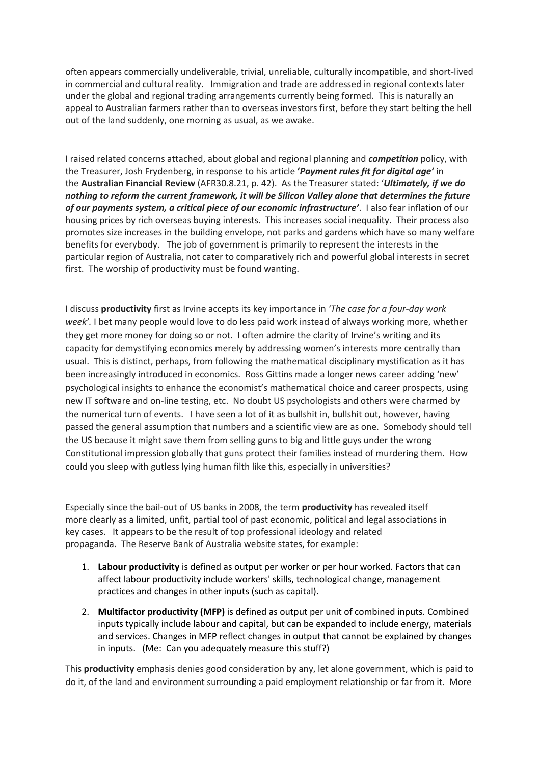often appears commercially undeliverable, trivial, unreliable, culturally incompatible, and short-lived in commercial and cultural reality. Immigration and trade are addressed in regional contexts later under the global and regional trading arrangements currently being formed. This is naturally an appeal to Australian farmers rather than to overseas investors first, before they start belting the hell out of the land suddenly, one morning as usual, as we awake.

I raised related concerns attached, about global and regional planning and *competition* policy, with the Treasurer, Josh Frydenberg, in response to his article **'***Payment rules fit for digital age'* in the **Australian Financial Review** (AFR30.8.21, p. 42). As the Treasurer stated: '*Ultimately, if we do nothing to reform the current framework, it will be Silicon Valley alone that determines the future of our payments system, a critical piece of our economic infrastructure'*. I also fear inflation of our housing prices by rich overseas buying interests. This increases social inequality. Their process also promotes size increases in the building envelope, not parks and gardens which have so many welfare benefits for everybody. The job of government is primarily to represent the interests in the particular region of Australia, not cater to comparatively rich and powerful global interests in secret first. The worship of productivity must be found wanting.

I discuss **productivity** first as Irvine accepts its key importance in *'The case for a four-day work week'.* I bet many people would love to do less paid work instead of always working more, whether they get more money for doing so or not. I often admire the clarity of Irvine's writing and its capacity for demystifying economics merely by addressing women's interests more centrally than usual. This is distinct, perhaps, from following the mathematical disciplinary mystification as it has been increasingly introduced in economics. Ross Gittins made a longer news career adding 'new' psychological insights to enhance the economist's mathematical choice and career prospects, using new IT software and on-line testing, etc. No doubt US psychologists and others were charmed by the numerical turn of events. I have seen a lot of it as bullshit in, bullshit out, however, having passed the general assumption that numbers and a scientific view are as one. Somebody should tell the US because it might save them from selling guns to big and little guys under the wrong Constitutional impression globally that guns protect their families instead of murdering them. How could you sleep with gutless lying human filth like this, especially in universities?

Especially since the bail-out of US banks in 2008, the term **productivity** has revealed itself more clearly as a limited, unfit, partial tool of past economic, political and legal associations in key cases. It appears to be the result of top professional ideology and related propaganda. The Reserve Bank of Australia website states, for example:

- 1. **Labour productivity** is defined as output per worker or per hour worked. Factors that can affect labour productivity include workers' skills, technological change, management practices and changes in other inputs (such as capital).
- 2. **Multifactor productivity (MFP)** is defined as output per unit of combined inputs. Combined inputs typically include labour and capital, but can be expanded to include energy, materials and services. Changes in MFP reflect changes in output that cannot be explained by changes in inputs. (Me: Can you adequately measure this stuff?)

This **productivity** emphasis denies good consideration by any, let alone government, which is paid to do it, of the land and environment surrounding a paid employment relationship or far from it. More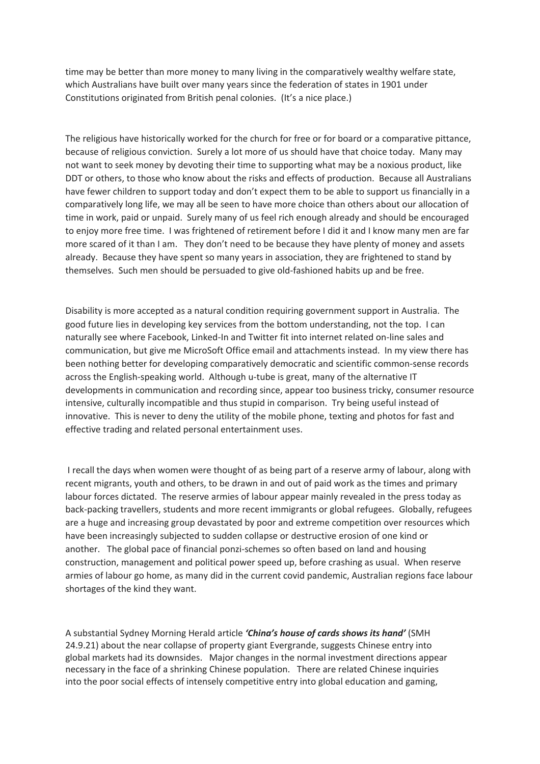time may be better than more money to many living in the comparatively wealthy welfare state, which Australians have built over many years since the federation of states in 1901 under Constitutions originated from British penal colonies. (It's a nice place.)

The religious have historically worked for the church for free or for board or a comparative pittance, because of religious conviction. Surely a lot more of us should have that choice today. Many may not want to seek money by devoting their time to supporting what may be a noxious product, like DDT or others, to those who know about the risks and effects of production. Because all Australians have fewer children to support today and don't expect them to be able to support us financially in a comparatively long life, we may all be seen to have more choice than others about our allocation of time in work, paid or unpaid. Surely many of us feel rich enough already and should be encouraged to enjoy more free time. I was frightened of retirement before I did it and I know many men are far more scared of it than I am. They don't need to be because they have plenty of money and assets already. Because they have spent so many years in association, they are frightened to stand by themselves. Such men should be persuaded to give old-fashioned habits up and be free.

Disability is more accepted as a natural condition requiring government support in Australia. The good future lies in developing key services from the bottom understanding, not the top. I can naturally see where Facebook, Linked-In and Twitter fit into internet related on-line sales and communication, but give me MicroSoft Office email and attachments instead. In my view there has been nothing better for developing comparatively democratic and scientific common-sense records across the English-speaking world. Although u-tube is great, many of the alternative IT developments in communication and recording since, appear too business tricky, consumer resource intensive, culturally incompatible and thus stupid in comparison. Try being useful instead of innovative. This is never to deny the utility of the mobile phone, texting and photos for fast and effective trading and related personal entertainment uses.

I recall the days when women were thought of as being part of a reserve army of labour, along with recent migrants, youth and others, to be drawn in and out of paid work as the times and primary labour forces dictated. The reserve armies of labour appear mainly revealed in the press today as back-packing travellers, students and more recent immigrants or global refugees. Globally, refugees are a huge and increasing group devastated by poor and extreme competition over resources which have been increasingly subjected to sudden collapse or destructive erosion of one kind or another. The global pace of financial ponzi-schemes so often based on land and housing construction, management and political power speed up, before crashing as usual. When reserve armies of labour go home, as many did in the current covid pandemic, Australian regions face labour shortages of the kind they want.

A substantial Sydney Morning Herald article *'China's house of cards shows its hand'* (SMH 24.9.21) about the near collapse of property giant Evergrande, suggests Chinese entry into global markets had its downsides. Major changes in the normal investment directions appear necessary in the face of a shrinking Chinese population. There are related Chinese inquiries into the poor social effects of intensely competitive entry into global education and gaming,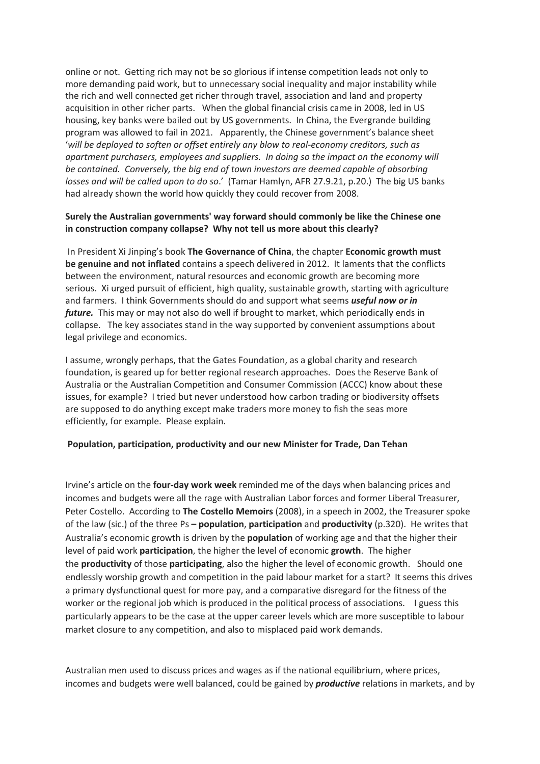online or not. Getting rich may not be so glorious if intense competition leads not only to more demanding paid work, but to unnecessary social inequality and major instability while the rich and well connected get richer through travel, association and land and property acquisition in other richer parts. When the global financial crisis came in 2008, led in US housing, key banks were bailed out by US governments. In China, the Evergrande building program was allowed to fail in 2021. Apparently, the Chinese government's balance sheet '*will be deployed to soften or offset entirely any blow to real-economy creditors, such as apartment purchasers, employees and suppliers. In doing so the impact on the economy will be contained. Conversely, the big end of town investors are deemed capable of absorbing losses and will be called upon to do so*.' (Tamar Hamlyn, AFR 27.9.21, p.20.) The big US banks had already shown the world how quickly they could recover from 2008.

## **Surely the Australian governments' way forward should commonly be like the Chinese one in construction company collapse? Why not tell us more about this clearly?**

In President Xi Jinping's book **The Governance of China**, the chapter **Economic growth must be genuine and not inflated** contains a speech delivered in 2012. It laments that the conflicts between the environment, natural resources and economic growth are becoming more serious. Xi urged pursuit of efficient, high quality, sustainable growth, starting with agriculture and farmers. I think Governments should do and support what seems *useful now or in future.* This may or may not also do well if brought to market, which periodically ends in collapse. The key associates stand in the way supported by convenient assumptions about legal privilege and economics.

I assume, wrongly perhaps, that the Gates Foundation, as a global charity and research foundation, is geared up for better regional research approaches. Does the Reserve Bank of Australia or the Australian Competition and Consumer Commission (ACCC) know about these issues, for example? I tried but never understood how carbon trading or biodiversity offsets are supposed to do anything except make traders more money to fish the seas more efficiently, for example. Please explain.

#### **Population, participation, productivity and our new Minister for Trade, Dan Tehan**

Irvine's article on the **four-day work week** reminded me of the days when balancing prices and incomes and budgets were all the rage with Australian Labor forces and former Liberal Treasurer, Peter Costello. According to **The Costello Memoirs** (2008), in a speech in 2002, the Treasurer spoke of the law (sic.) of the three Ps **– population**, **participation** and **productivity** (p.320). He writes that Australia's economic growth is driven by the **population** of working age and that the higher their level of paid work **participation**, the higher the level of economic **growth**. The higher the **productivity** of those **participating**, also the higher the level of economic growth. Should one endlessly worship growth and competition in the paid labour market for a start? It seems this drives a primary dysfunctional quest for more pay, and a comparative disregard for the fitness of the worker or the regional job which is produced in the political process of associations. I guess this particularly appears to be the case at the upper career levels which are more susceptible to labour market closure to any competition, and also to misplaced paid work demands.

Australian men used to discuss prices and wages as if the national equilibrium, where prices, incomes and budgets were well balanced, could be gained by *productive* relations in markets, and by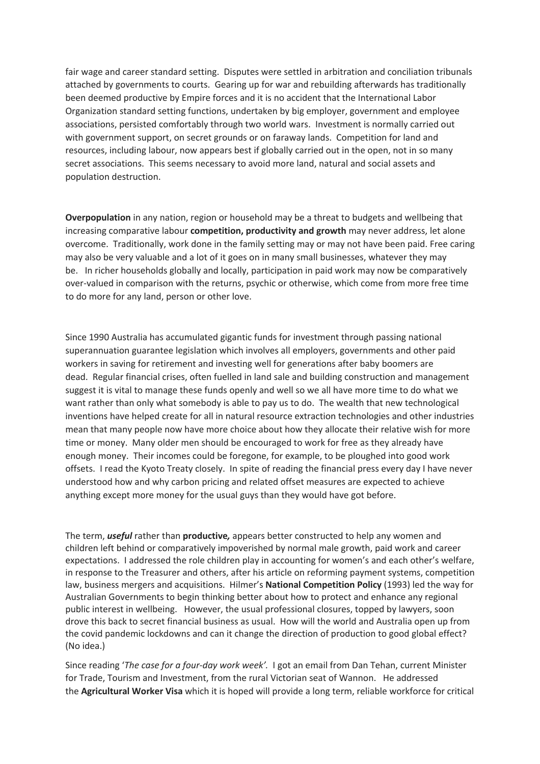fair wage and career standard setting. Disputes were settled in arbitration and conciliation tribunals attached by governments to courts. Gearing up for war and rebuilding afterwards has traditionally been deemed productive by Empire forces and it is no accident that the International Labor Organization standard setting functions, undertaken by big employer, government and employee associations, persisted comfortably through two world wars. Investment is normally carried out with government support, on secret grounds or on faraway lands. Competition for land and resources, including labour, now appears best if globally carried out in the open, not in so many secret associations. This seems necessary to avoid more land, natural and social assets and population destruction.

**Overpopulation** in any nation, region or household may be a threat to budgets and wellbeing that increasing comparative labour **competition, productivity and growth** may never address, let alone overcome. Traditionally, work done in the family setting may or may not have been paid. Free caring may also be very valuable and a lot of it goes on in many small businesses, whatever they may be. In richer households globally and locally, participation in paid work may now be comparatively over-valued in comparison with the returns, psychic or otherwise, which come from more free time to do more for any land, person or other love.

Since 1990 Australia has accumulated gigantic funds for investment through passing national superannuation guarantee legislation which involves all employers, governments and other paid workers in saving for retirement and investing well for generations after baby boomers are dead. Regular financial crises, often fuelled in land sale and building construction and management suggest it is vital to manage these funds openly and well so we all have more time to do what we want rather than only what somebody is able to pay us to do. The wealth that new technological inventions have helped create for all in natural resource extraction technologies and other industries mean that many people now have more choice about how they allocate their relative wish for more time or money. Many older men should be encouraged to work for free as they already have enough money. Their incomes could be foregone, for example, to be ploughed into good work offsets. I read the Kyoto Treaty closely. In spite of reading the financial press every day I have never understood how and why carbon pricing and related offset measures are expected to achieve anything except more money for the usual guys than they would have got before.

The term, *useful* rather than **productive***,* appears better constructed to help any women and children left behind or comparatively impoverished by normal male growth, paid work and career expectations. I addressed the role children play in accounting for women's and each other's welfare, in response to the Treasurer and others, after his article on reforming payment systems, competition law, business mergers and acquisitions. Hilmer's **National Competition Policy** (1993) led the way for Australian Governments to begin thinking better about how to protect and enhance any regional public interest in wellbeing. However, the usual professional closures, topped by lawyers, soon drove this back to secret financial business as usual. How will the world and Australia open up from the covid pandemic lockdowns and can it change the direction of production to good global effect? (No idea.)

Since reading '*The case for a four-day work week'.* I got an email from Dan Tehan, current Minister for Trade, Tourism and Investment, from the rural Victorian seat of Wannon. He addressed the **Agricultural Worker Visa** which it is hoped will provide a long term, reliable workforce for critical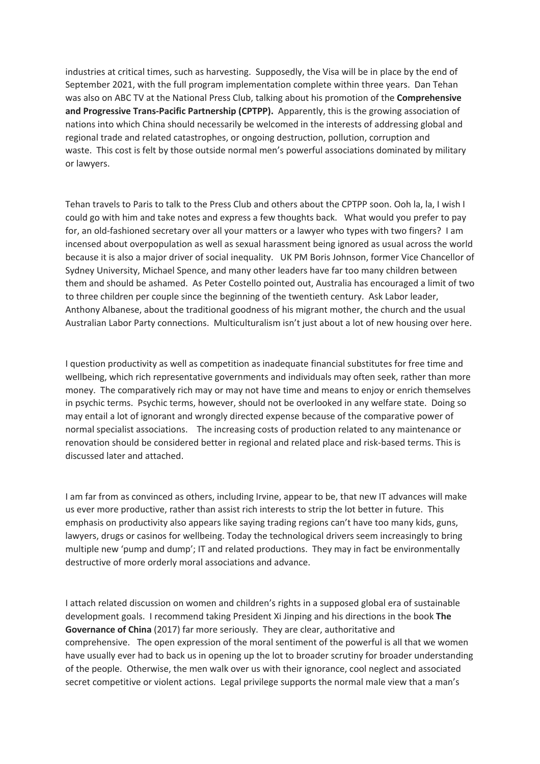industries at critical times, such as harvesting. Supposedly, the Visa will be in place by the end of September 2021, with the full program implementation complete within three years. Dan Tehan was also on ABC TV at the National Press Club, talking about his promotion of the **Comprehensive and Progressive Trans-Pacific Partnership (CPTPP).** Apparently, this is the growing association of nations into which China should necessarily be welcomed in the interests of addressing global and regional trade and related catastrophes, or ongoing destruction, pollution, corruption and waste. This cost is felt by those outside normal men's powerful associations dominated by military or lawyers.

Tehan travels to Paris to talk to the Press Club and others about the CPTPP soon. Ooh la, la, I wish I could go with him and take notes and express a few thoughts back. What would you prefer to pay for, an old-fashioned secretary over all your matters or a lawyer who types with two fingers? I am incensed about overpopulation as well as sexual harassment being ignored as usual across the world because it is also a major driver of social inequality. UK PM Boris Johnson, former Vice Chancellor of Sydney University, Michael Spence, and many other leaders have far too many children between them and should be ashamed. As Peter Costello pointed out, Australia has encouraged a limit of two to three children per couple since the beginning of the twentieth century. Ask Labor leader, Anthony Albanese, about the traditional goodness of his migrant mother, the church and the usual Australian Labor Party connections. Multiculturalism isn't just about a lot of new housing over here.

I question productivity as well as competition as inadequate financial substitutes for free time and wellbeing, which rich representative governments and individuals may often seek, rather than more money. The comparatively rich may or may not have time and means to enjoy or enrich themselves in psychic terms. Psychic terms, however, should not be overlooked in any welfare state. Doing so may entail a lot of ignorant and wrongly directed expense because of the comparative power of normal specialist associations. The increasing costs of production related to any maintenance or renovation should be considered better in regional and related place and risk-based terms. This is discussed later and attached.

I am far from as convinced as others, including Irvine, appear to be, that new IT advances will make us ever more productive, rather than assist rich interests to strip the lot better in future. This emphasis on productivity also appears like saying trading regions can't have too many kids, guns, lawyers, drugs or casinos for wellbeing. Today the technological drivers seem increasingly to bring multiple new 'pump and dump'; IT and related productions. They may in fact be environmentally destructive of more orderly moral associations and advance.

I attach related discussion on women and children's rights in a supposed global era of sustainable development goals. I recommend taking President Xi Jinping and his directions in the book **The Governance of China** (2017) far more seriously. They are clear, authoritative and comprehensive. The open expression of the moral sentiment of the powerful is all that we women have usually ever had to back us in opening up the lot to broader scrutiny for broader understanding of the people. Otherwise, the men walk over us with their ignorance, cool neglect and associated secret competitive or violent actions. Legal privilege supports the normal male view that a man's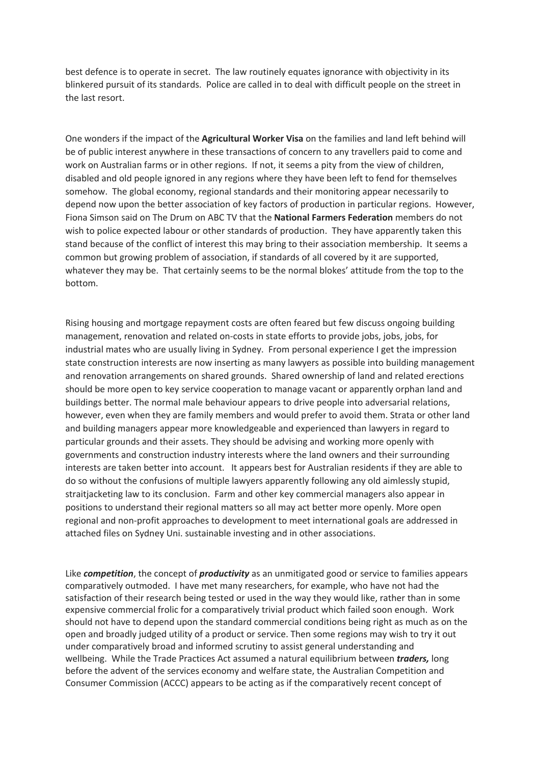best defence is to operate in secret. The law routinely equates ignorance with objectivity in its blinkered pursuit of its standards. Police are called in to deal with difficult people on the street in the last resort.

One wonders if the impact of the **Agricultural Worker Visa** on the families and land left behind will be of public interest anywhere in these transactions of concern to any travellers paid to come and work on Australian farms or in other regions. If not, it seems a pity from the view of children, disabled and old people ignored in any regions where they have been left to fend for themselves somehow. The global economy, regional standards and their monitoring appear necessarily to depend now upon the better association of key factors of production in particular regions. However, Fiona Simson said on The Drum on ABC TV that the **National Farmers Federation** members do not wish to police expected labour or other standards of production. They have apparently taken this stand because of the conflict of interest this may bring to their association membership. It seems a common but growing problem of association, if standards of all covered by it are supported, whatever they may be. That certainly seems to be the normal blokes' attitude from the top to the bottom.

Rising housing and mortgage repayment costs are often feared but few discuss ongoing building management, renovation and related on-costs in state efforts to provide jobs, jobs, jobs, for industrial mates who are usually living in Sydney. From personal experience I get the impression state construction interests are now inserting as many lawyers as possible into building management and renovation arrangements on shared grounds. Shared ownership of land and related erections should be more open to key service cooperation to manage vacant or apparently orphan land and buildings better. The normal male behaviour appears to drive people into adversarial relations, however, even when they are family members and would prefer to avoid them. Strata or other land and building managers appear more knowledgeable and experienced than lawyers in regard to particular grounds and their assets. They should be advising and working more openly with governments and construction industry interests where the land owners and their surrounding interests are taken better into account. It appears best for Australian residents if they are able to do so without the confusions of multiple lawyers apparently following any old aimlessly stupid, straitjacketing law to its conclusion. Farm and other key commercial managers also appear in positions to understand their regional matters so all may act better more openly. More open regional and non-profit approaches to development to meet international goals are addressed in attached files on Sydney Uni. sustainable investing and in other associations.

Like *competition*, the concept of *productivity* as an unmitigated good or service to families appears comparatively outmoded. I have met many researchers, for example, who have not had the satisfaction of their research being tested or used in the way they would like, rather than in some expensive commercial frolic for a comparatively trivial product which failed soon enough. Work should not have to depend upon the standard commercial conditions being right as much as on the open and broadly judged utility of a product or service. Then some regions may wish to try it out under comparatively broad and informed scrutiny to assist general understanding and wellbeing. While the Trade Practices Act assumed a natural equilibrium between *traders,* long before the advent of the services economy and welfare state, the Australian Competition and Consumer Commission (ACCC) appears to be acting as if the comparatively recent concept of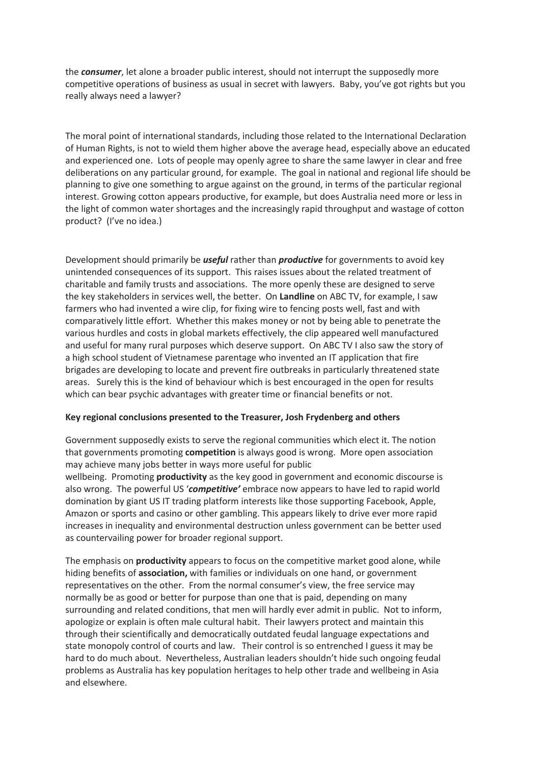the *consumer*, let alone a broader public interest, should not interrupt the supposedly more competitive operations of business as usual in secret with lawyers. Baby, you've got rights but you really always need a lawyer?

The moral point of international standards, including those related to the International Declaration of Human Rights, is not to wield them higher above the average head, especially above an educated and experienced one. Lots of people may openly agree to share the same lawyer in clear and free deliberations on any particular ground, for example. The goal in national and regional life should be planning to give one something to argue against on the ground, in terms of the particular regional interest. Growing cotton appears productive, for example, but does Australia need more or less in the light of common water shortages and the increasingly rapid throughput and wastage of cotton product? (I've no idea.)

Development should primarily be *useful* rather than *productive* for governments to avoid key unintended consequences of its support. This raises issues about the related treatment of charitable and family trusts and associations. The more openly these are designed to serve the key stakeholders in services well, the better. On **Landline** on ABC TV, for example, I saw farmers who had invented a wire clip, for fixing wire to fencing posts well, fast and with comparatively little effort. Whether this makes money or not by being able to penetrate the various hurdles and costs in global markets effectively, the clip appeared well manufactured and useful for many rural purposes which deserve support. On ABC TV I also saw the story of a high school student of Vietnamese parentage who invented an IT application that fire brigades are developing to locate and prevent fire outbreaks in particularly threatened state areas. Surely this is the kind of behaviour which is best encouraged in the open for results which can bear psychic advantages with greater time or financial benefits or not.

#### **Key regional conclusions presented to the Treasurer, Josh Frydenberg and others**

Government supposedly exists to serve the regional communities which elect it. The notion that governments promoting **competition** is always good is wrong. More open association may achieve many jobs better in ways more useful for public

wellbeing. Promoting **productivity** as the key good in government and economic discourse is also wrong. The powerful US '*competitive'* embrace now appears to have led to rapid world domination by giant US IT trading platform interests like those supporting Facebook, Apple, Amazon or sports and casino or other gambling. This appears likely to drive ever more rapid increases in inequality and environmental destruction unless government can be better used as countervailing power for broader regional support.

The emphasis on **productivity** appears to focus on the competitive market good alone, while hiding benefits of **association,** with families or individuals on one hand, or government representatives on the other. From the normal consumer's view, the free service may normally be as good or better for purpose than one that is paid, depending on many surrounding and related conditions, that men will hardly ever admit in public. Not to inform, apologize or explain is often male cultural habit. Their lawyers protect and maintain this through their scientifically and democratically outdated feudal language expectations and state monopoly control of courts and law. Their control is so entrenched I guess it may be hard to do much about. Nevertheless, Australian leaders shouldn't hide such ongoing feudal problems as Australia has key population heritages to help other trade and wellbeing in Asia and elsewhere.